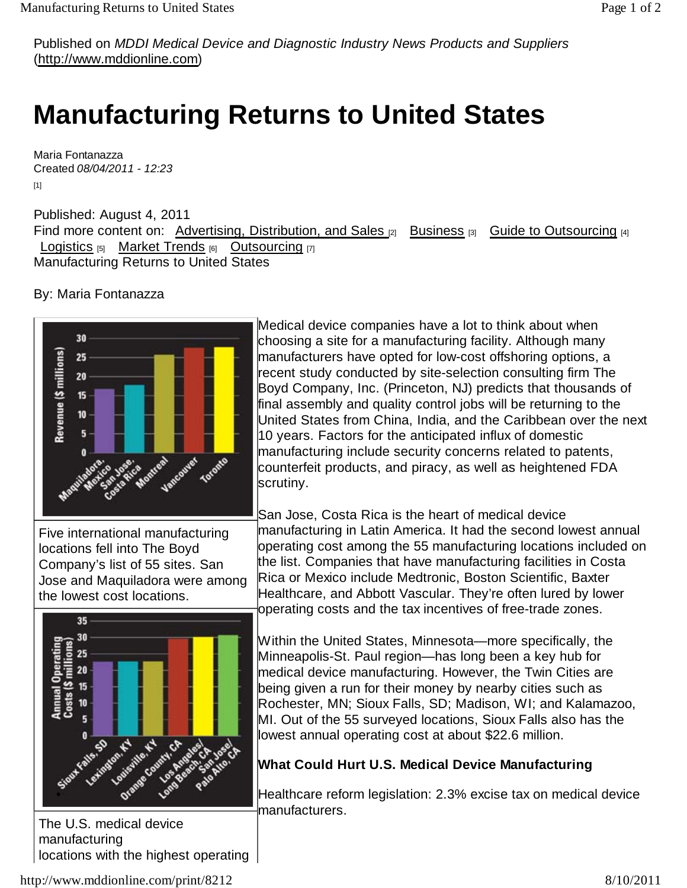Published on *MDDI Medical Device and Diagnostic Industry News Products and Suppliers* (http://www.mddionline.com)

## **Manufacturing Returns to United States**

Maria Fontanazza Created *08/04/2011 - 12:23* [1]

Published: August 4, 2011 Find more content on: Advertising, Distribution, and Sales [2] Business [3] Guide to Outsourcing [4] Logistics  $[5]$  Market Trends  $[6]$  Outsourcing  $[7]$ Manufacturing Returns to United States

By: Maria Fontanazza



Five international manufacturing locations fell into The Boyd Company's list of 55 sites. San Jose and Maquiladora were among the lowest cost locations.



The U.S. medical device manufacturing locations with the highest operating

Medical device companies have a lot to think about when choosing a site for a manufacturing facility. Although many manufacturers have opted for low-cost offshoring options, a recent study conducted by site-selection consulting firm The Boyd Company, Inc. (Princeton, NJ) predicts that thousands of final assembly and quality control jobs will be returning to the United States from China, India, and the Caribbean over the next 10 years. Factors for the anticipated influx of domestic manufacturing include security concerns related to patents, counterfeit products, and piracy, as well as heightened FDA scrutiny.

San Jose, Costa Rica is the heart of medical device manufacturing in Latin America. It had the second lowest annual operating cost among the 55 manufacturing locations included on the list. Companies that have manufacturing facilities in Costa Rica or Mexico include Medtronic, Boston Scientific, Baxter Healthcare, and Abbott Vascular. They're often lured by lower operating costs and the tax incentives of free-trade zones.

Within the United States, Minnesota—more specifically, the Minneapolis-St. Paul region—has long been a key hub for medical device manufacturing. However, the Twin Cities are being given a run for their money by nearby cities such as Rochester, MN; Sioux Falls, SD; Madison, WI; and Kalamazoo, MI. Out of the 55 surveyed locations, Sioux Falls also has the lowest annual operating cost at about \$22.6 million.

## **What Could Hurt U.S. Medical Device Manufacturing**

Healthcare reform legislation: 2.3% excise tax on medical device manufacturers.